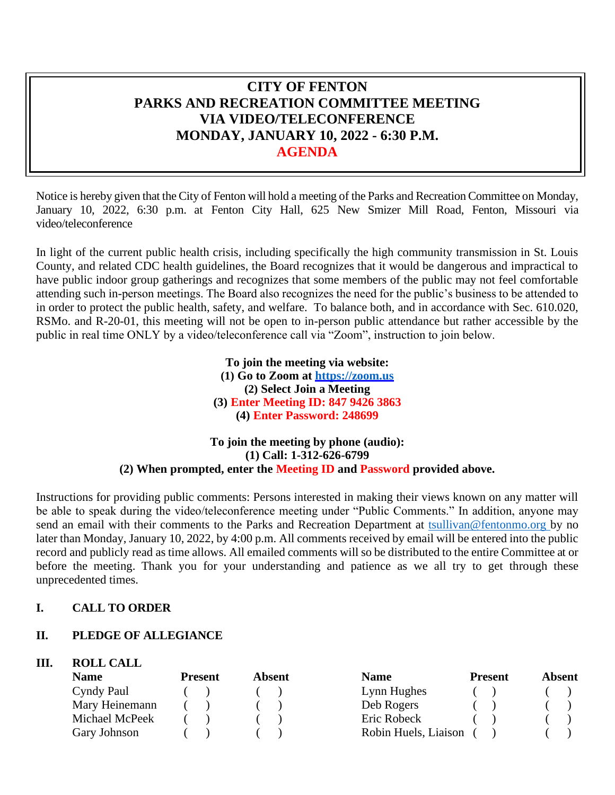# **CITY OF FENTON PARKS AND RECREATION COMMITTEE MEETING VIA VIDEO/TELECONFERENCE MONDAY, JANUARY 10, 2022 - 6:30 P.M. AGENDA**

Notice is hereby given that the City of Fenton will hold a meeting of the Parks and Recreation Committee on Monday, January 10, 2022, 6:30 p.m. at Fenton City Hall, 625 New Smizer Mill Road, Fenton, Missouri via video/teleconference

In light of the current public health crisis, including specifically the high community transmission in St. Louis County, and related CDC health guidelines, the Board recognizes that it would be dangerous and impractical to have public indoor group gatherings and recognizes that some members of the public may not feel comfortable attending such in-person meetings. The Board also recognizes the need for the public's business to be attended to in order to protect the public health, safety, and welfare. To balance both, and in accordance with Sec. 610.020, RSMo. and R-20-01, this meeting will not be open to in-person public attendance but rather accessible by the public in real time ONLY by a video/teleconference call via "Zoom", instruction to join below.

> **To join the meeting via website: (1) Go to Zoom at [https://zoom.us](https://zoom.us/) (2) Select Join a Meeting (3) Enter Meeting ID: 847 9426 3863 (4) Enter Password: 248699**

# **To join the meeting by phone (audio): (1) Call: 1-312-626-6799 (2) When prompted, enter the Meeting ID and Password provided above.**

Instructions for providing public comments: Persons interested in making their views known on any matter will be able to speak during the video/teleconference meeting under "Public Comments." In addition, anyone may send an email with their comments to the Parks and Recreation Department at [tsullivan@fentonmo.org b](mailto:tsullivan@fentonmo.org)y no later than Monday, January 10, 2022, by 4:00 p.m. All comments received by email will be entered into the public record and publicly read as time allows. All emailed comments will so be distributed to the entire Committee at or before the meeting. Thank you for your understanding and patience as we all try to get through these unprecedented times.

# **I. CALL TO ORDER**

# **II. PLEDGE OF ALLEGIANCE**

# **III. ROLL CALL**

| <b>Name</b>    | <b>Present</b> | Absent | <b>Name</b>          | <b>Present</b> | Absent |
|----------------|----------------|--------|----------------------|----------------|--------|
| Cyndy Paul     |                |        | Lynn Hughes          |                |        |
| Mary Heinemann |                |        | Deb Rogers           |                |        |
| Michael McPeek |                |        | Eric Robeck          |                |        |
| Gary Johnson   |                |        | Robin Huels, Liaison |                |        |